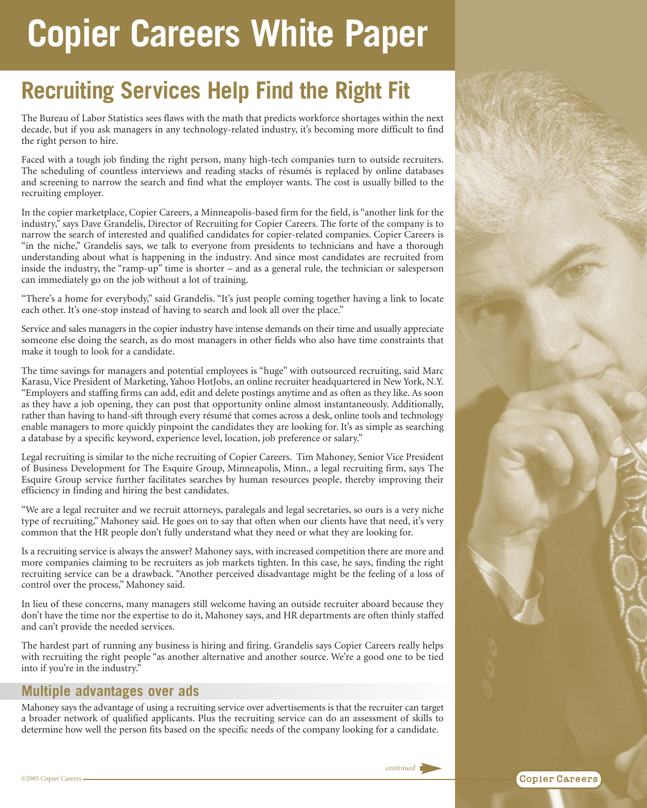# **Copier Careers White Paper**

## **Recruiting Services Help Find the Right Fit**

The Bureau of Labor Statistics sees flaws with the math that predicts workforce shortages within the next decade, but if you ask managers in any technology-related industry, it's becoming more difficult to find the right person to hire.

Faced with a tough job finding the right person, many high-tech companies turn to outside recruiters. The scheduling of countless interviews and reading stacks of résumés is replaced by online databases and screening to narrow the search and find what the employer wants. The cost is usually billed to the recruiting employer.

In the copier marketplace, Copier Careers, a Minneapolis-based firm for the field, is "another link for the industry," says Dave Grandelis, Director of Recruiting for Copier Careers. The forte of the company is to narrow the search of interested and qualified candidates for copier-related companies. Copier Careers is "in the niche," Grandelis says, we talk to everyone from presidents to technicians and have a thorough understanding about what is happening in the industry. And since most candidates are recruited from inside the industry, the "ramp-up" time is shorter – and as a general rule, the technician or salesperson can immediately go on the job without a lot of training.

"There's a home for everybody," said Grandelis. "It's just people coming together having a link to locate each other. It's one-stop instead of having to search and look all over the place."

Service and sales managers in the copier industry have intense demands on their time and usually appreciate someone else doing the search, as do most managers in other fields who also have time constraints that make it tough to look for a candidate.

The time savings for managers and potential employees is "huge" with outsourced recruiting, said Marc Karasu, Vice President of Marketing, Yahoo HotJobs, an online recruiter headquartered in New York, N.Y. "Employers and staffing firms can add, edit and delete postings anytime and as often as they like. As soon as they have a job opening, they can post that opportunity online almost instantaneously. Additionally, rather than having to hand-sift through every résumé that comes across a desk, online tools and technology enable managers to more quickly pinpoint the candidates they are looking for. It's as simple as searching a database by a specific keyword, experience level, location, job preference or salary."

Legal recruiting is similar to the niche recruiting of Copier Careers. Tim Mahoney, Senior Vice President of Business Development for The Esquire Group, Minneapolis, Minn., a legal recruiting firm, says The Esquire Group service further facilitates searches by human resources people, thereby improving their efficiency in finding and hiring the best candidates.

"We are a legal recruiter and we recruit attorneys, paralegals and legal secretaries, so ours is a very niche type of recruiting," Mahoney said. He goes on to say that often when our clients have that need, it's very common that the HR people don't fully understand what they need or what they are looking for.

Is a recruiting service is always the answer? Mahoney says, with increased competition there are more and more companies claiming to be recruiters as job markets tighten. In this case, he says, finding the right recruiting service can be a drawback. "Another perceived disadvantage might be the feeling of a loss of control over the process," Mahoney said.

In lieu of these concerns, many managers still welcome having an outside recruiter aboard because they don't have the time nor the expertise to do it, Mahoney says, and HR departments are often thinly staffed and can't provide the needed services.

The hardest part of running any business is hiring and firing. Grandelis says Copier Careers really helps with recruiting the right people "as another alternative and another source. We're a good one to be tied into if you're in the industry."

#### **Multiple advantages over ads**

Mahoney says the advantage of using a recruiting service over advertisements is that the recruiter can target a broader network of qualified applicants. Plus the recruiting service can do an assessment of skills to determine how well the person fits based on the specific needs of the company looking for a candidate.